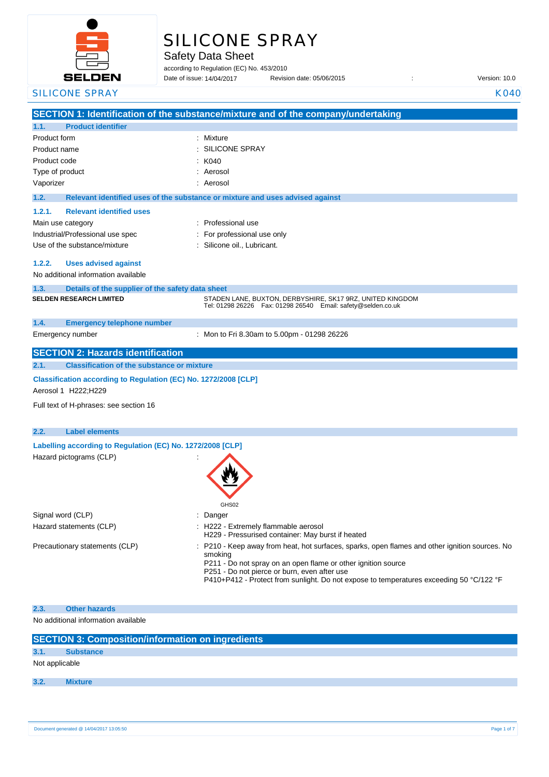

# SILICONE SPRAY

Safety Data Sheet

according to Regulation (EC) No. 453/2010 Date of issue: 14/04/2017

|              | <b>SELDEN</b>                                                                          | Date of issue: 14/04/2017                                                     | Revision date: 05/06/2015                                                                                                                                                                                                                                                                                                                                       | Version: 10.0 |
|--------------|----------------------------------------------------------------------------------------|-------------------------------------------------------------------------------|-----------------------------------------------------------------------------------------------------------------------------------------------------------------------------------------------------------------------------------------------------------------------------------------------------------------------------------------------------------------|---------------|
|              | <b>SILICONE SPRAY</b>                                                                  |                                                                               |                                                                                                                                                                                                                                                                                                                                                                 | <b>K040</b>   |
|              |                                                                                        |                                                                               | SECTION 1: Identification of the substance/mixture and of the company/undertaking                                                                                                                                                                                                                                                                               |               |
| 1.1.         | <b>Product identifier</b>                                                              |                                                                               |                                                                                                                                                                                                                                                                                                                                                                 |               |
| Product form |                                                                                        | : Mixture                                                                     |                                                                                                                                                                                                                                                                                                                                                                 |               |
|              | Product name                                                                           | <b>SILICONE SPRAY</b>                                                         |                                                                                                                                                                                                                                                                                                                                                                 |               |
| Product code |                                                                                        | K040                                                                          |                                                                                                                                                                                                                                                                                                                                                                 |               |
|              | Type of product                                                                        | Aerosol                                                                       |                                                                                                                                                                                                                                                                                                                                                                 |               |
| Vaporizer    |                                                                                        | Aerosol                                                                       |                                                                                                                                                                                                                                                                                                                                                                 |               |
| 1.2.         |                                                                                        | Relevant identified uses of the substance or mixture and uses advised against |                                                                                                                                                                                                                                                                                                                                                                 |               |
| 1.2.1.       | <b>Relevant identified uses</b>                                                        |                                                                               |                                                                                                                                                                                                                                                                                                                                                                 |               |
|              | Main use category                                                                      | : Professional use                                                            |                                                                                                                                                                                                                                                                                                                                                                 |               |
|              | Industrial/Professional use spec                                                       | For professional use only                                                     |                                                                                                                                                                                                                                                                                                                                                                 |               |
|              | Use of the substance/mixture                                                           | : Silicone oil., Lubricant.                                                   |                                                                                                                                                                                                                                                                                                                                                                 |               |
| 1.2.2.       | <b>Uses advised against</b><br>No additional information available                     |                                                                               |                                                                                                                                                                                                                                                                                                                                                                 |               |
| 1.3.         |                                                                                        |                                                                               |                                                                                                                                                                                                                                                                                                                                                                 |               |
|              | Details of the supplier of the safety data sheet<br><b>SELDEN RESEARCH LIMITED</b>     |                                                                               | STADEN LANE, BUXTON, DERBYSHIRE, SK17 9RZ, UNITED KINGDOM<br>Tel: 01298 26226    Fax: 01298 26540    Email: safety@selden.co.uk                                                                                                                                                                                                                                 |               |
| 1.4.         | <b>Emergency telephone number</b>                                                      |                                                                               |                                                                                                                                                                                                                                                                                                                                                                 |               |
|              | Emergency number                                                                       |                                                                               | : Mon to Fri 8.30am to 5.00pm - 01298 26226                                                                                                                                                                                                                                                                                                                     |               |
|              | <b>SECTION 2: Hazards identification</b>                                               |                                                                               |                                                                                                                                                                                                                                                                                                                                                                 |               |
| 2.1.         | <b>Classification of the substance or mixture</b>                                      |                                                                               |                                                                                                                                                                                                                                                                                                                                                                 |               |
|              | Classification according to Regulation (EC) No. 1272/2008 [CLP]<br>Aerosol 1 H222;H229 |                                                                               |                                                                                                                                                                                                                                                                                                                                                                 |               |
|              | Full text of H-phrases: see section 16                                                 |                                                                               |                                                                                                                                                                                                                                                                                                                                                                 |               |
| 2.2.         | <b>Label elements</b>                                                                  |                                                                               |                                                                                                                                                                                                                                                                                                                                                                 |               |
|              | Labelling according to Regulation (EC) No. 1272/2008 [CLP]                             |                                                                               |                                                                                                                                                                                                                                                                                                                                                                 |               |
|              | Hazard pictograms (CLP)                                                                |                                                                               |                                                                                                                                                                                                                                                                                                                                                                 |               |
|              |                                                                                        | GHS02                                                                         |                                                                                                                                                                                                                                                                                                                                                                 |               |
|              | Signal word (CLP)<br>Hazard statements (CLP)                                           | Danger<br>: H222 - Extremely flammable aerosol                                |                                                                                                                                                                                                                                                                                                                                                                 |               |
|              | Precautionary statements (CLP)                                                         | smoking                                                                       | H229 - Pressurised container: May burst if heated<br>: P210 - Keep away from heat, hot surfaces, sparks, open flames and other ignition sources. No<br>P211 - Do not spray on an open flame or other ignition source<br>P251 - Do not pierce or burn, even after use<br>P410+P412 - Protect from sunlight. Do not expose to temperatures exceeding 50 °C/122 °F |               |
| 2.3.         | <b>Other hazards</b>                                                                   |                                                                               |                                                                                                                                                                                                                                                                                                                                                                 |               |
|              | No additional information available                                                    |                                                                               |                                                                                                                                                                                                                                                                                                                                                                 |               |
|              | <b>SECTION 3: Composition/information on ingredients</b>                               |                                                                               |                                                                                                                                                                                                                                                                                                                                                                 |               |
| 3.1.         | <b>Substance</b>                                                                       |                                                                               |                                                                                                                                                                                                                                                                                                                                                                 |               |
|              | Not applicable                                                                         |                                                                               |                                                                                                                                                                                                                                                                                                                                                                 |               |
| 3.2.         | <b>Mixture</b>                                                                         |                                                                               |                                                                                                                                                                                                                                                                                                                                                                 |               |
|              |                                                                                        |                                                                               |                                                                                                                                                                                                                                                                                                                                                                 |               |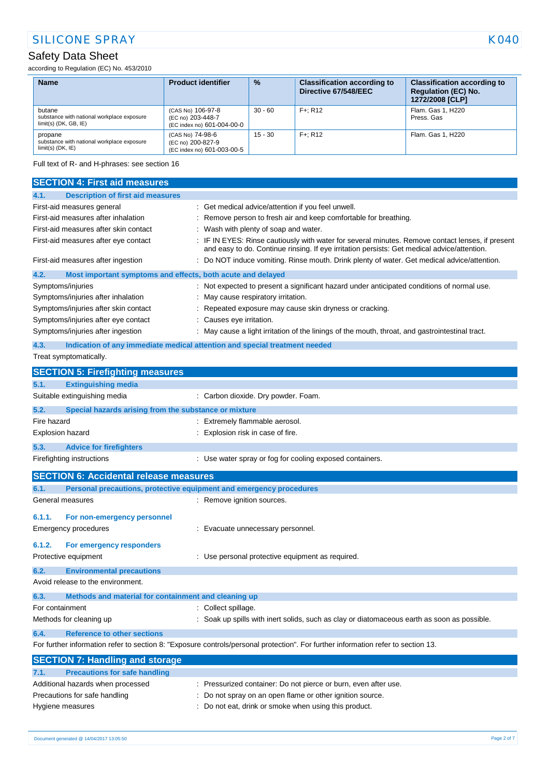according to Regulation (EC) No. 453/2010

| <b>Name</b>                                                                     | <b>Product identifier</b>                                            | $\frac{9}{6}$ | <b>Classification according to</b><br>Directive 67/548/EEC | <b>Classification according to</b><br><b>Regulation (EC) No.</b><br>1272/2008 [CLP] |
|---------------------------------------------------------------------------------|----------------------------------------------------------------------|---------------|------------------------------------------------------------|-------------------------------------------------------------------------------------|
| butane<br>substance with national workplace exposure<br>$limit(s)$ (DK, GB, IE) | (CAS No) 106-97-8<br>(EC no) 203-448-7<br>(EC index no) 601-004-00-0 | $30 - 60$     | $F +: R12$                                                 | Flam. Gas 1, H220<br>Press, Gas                                                     |
| propane<br>substance with national workplace exposure<br>$limit(s)$ (DK, $IE$ ) | (CAS No) 74-98-6<br>(EC no) 200-827-9<br>(EC index no) 601-003-00-5  | $15 - 30$     | $F +: R12$                                                 | Flam, Gas 1, H220                                                                   |

Full text of R- and H-phrases: see section 16

| <b>SECTION 4: First aid measures</b>                                                                                              |                                                                                                                                                                                               |  |  |  |
|-----------------------------------------------------------------------------------------------------------------------------------|-----------------------------------------------------------------------------------------------------------------------------------------------------------------------------------------------|--|--|--|
| <b>Description of first aid measures</b><br>4.1.                                                                                  |                                                                                                                                                                                               |  |  |  |
| First-aid measures general                                                                                                        | : Get medical advice/attention if you feel unwell.                                                                                                                                            |  |  |  |
| First-aid measures after inhalation                                                                                               | Remove person to fresh air and keep comfortable for breathing.                                                                                                                                |  |  |  |
| First-aid measures after skin contact                                                                                             | : Wash with plenty of soap and water.                                                                                                                                                         |  |  |  |
| First-aid measures after eye contact                                                                                              | IF IN EYES: Rinse cautiously with water for several minutes. Remove contact lenses, if present<br>and easy to do. Continue rinsing. If eye irritation persists: Get medical advice/attention. |  |  |  |
| First-aid measures after ingestion                                                                                                | Do NOT induce vomiting. Rinse mouth. Drink plenty of water. Get medical advice/attention.                                                                                                     |  |  |  |
| 4.2.<br>Most important symptoms and effects, both acute and delayed                                                               |                                                                                                                                                                                               |  |  |  |
| Symptoms/injuries                                                                                                                 | Not expected to present a significant hazard under anticipated conditions of normal use.                                                                                                      |  |  |  |
| Symptoms/injuries after inhalation                                                                                                | May cause respiratory irritation.                                                                                                                                                             |  |  |  |
| Symptoms/injuries after skin contact                                                                                              | Repeated exposure may cause skin dryness or cracking.                                                                                                                                         |  |  |  |
| Symptoms/injuries after eye contact                                                                                               | Causes eye irritation.                                                                                                                                                                        |  |  |  |
| Symptoms/injuries after ingestion                                                                                                 | May cause a light irritation of the linings of the mouth, throat, and gastrointestinal tract.                                                                                                 |  |  |  |
| 4.3.<br>Treat symptomatically.                                                                                                    | Indication of any immediate medical attention and special treatment needed                                                                                                                    |  |  |  |
| <b>SECTION 5: Firefighting measures</b>                                                                                           |                                                                                                                                                                                               |  |  |  |
|                                                                                                                                   |                                                                                                                                                                                               |  |  |  |
| 5.1.<br><b>Extinguishing media</b>                                                                                                |                                                                                                                                                                                               |  |  |  |
| Suitable extinguishing media                                                                                                      | : Carbon dioxide. Dry powder. Foam.                                                                                                                                                           |  |  |  |
| 5.2.<br>Special hazards arising from the substance or mixture                                                                     |                                                                                                                                                                                               |  |  |  |
| Fire hazard                                                                                                                       | : Extremely flammable aerosol.                                                                                                                                                                |  |  |  |
| Explosion hazard                                                                                                                  | Explosion risk in case of fire.                                                                                                                                                               |  |  |  |
| 5.3.<br><b>Advice for firefighters</b>                                                                                            |                                                                                                                                                                                               |  |  |  |
| Firefighting instructions                                                                                                         | : Use water spray or fog for cooling exposed containers.                                                                                                                                      |  |  |  |
| <b>SECTION 6: Accidental release measures</b>                                                                                     |                                                                                                                                                                                               |  |  |  |
| Personal precautions, protective equipment and emergency procedures<br>6.1.                                                       |                                                                                                                                                                                               |  |  |  |
| General measures                                                                                                                  | : Remove ignition sources.                                                                                                                                                                    |  |  |  |
| 6.1.1.<br>For non-emergency personnel                                                                                             |                                                                                                                                                                                               |  |  |  |
| Emergency procedures                                                                                                              | Evacuate unnecessary personnel.                                                                                                                                                               |  |  |  |
| 6.1.2.<br>For emergency responders                                                                                                |                                                                                                                                                                                               |  |  |  |
| Protective equipment                                                                                                              | Use personal protective equipment as required.                                                                                                                                                |  |  |  |
| 6.2.<br><b>Environmental precautions</b>                                                                                          |                                                                                                                                                                                               |  |  |  |
| Avoid release to the environment.                                                                                                 |                                                                                                                                                                                               |  |  |  |
| Methods and material for containment and cleaning up<br>6.3.                                                                      |                                                                                                                                                                                               |  |  |  |
| For containment                                                                                                                   | Collect spillage.                                                                                                                                                                             |  |  |  |
| Methods for cleaning up                                                                                                           | : Soak up spills with inert solids, such as clay or diatomaceous earth as soon as possible.                                                                                                   |  |  |  |
| <b>Reference to other sections</b><br>6.4.                                                                                        |                                                                                                                                                                                               |  |  |  |
| For further information refer to section 8: "Exposure controls/personal protection". For further information refer to section 13. |                                                                                                                                                                                               |  |  |  |
| <b>SECTION 7: Handling and storage</b>                                                                                            |                                                                                                                                                                                               |  |  |  |
| <b>Precautions for safe handling</b><br>7.1.                                                                                      |                                                                                                                                                                                               |  |  |  |
| Additional hazards when processed                                                                                                 | Pressurized container: Do not pierce or burn, even after use.                                                                                                                                 |  |  |  |
| Precautions for safe handling                                                                                                     | Do not spray on an open flame or other ignition source.                                                                                                                                       |  |  |  |
| Hygiene measures                                                                                                                  | Do not eat, drink or smoke when using this product.                                                                                                                                           |  |  |  |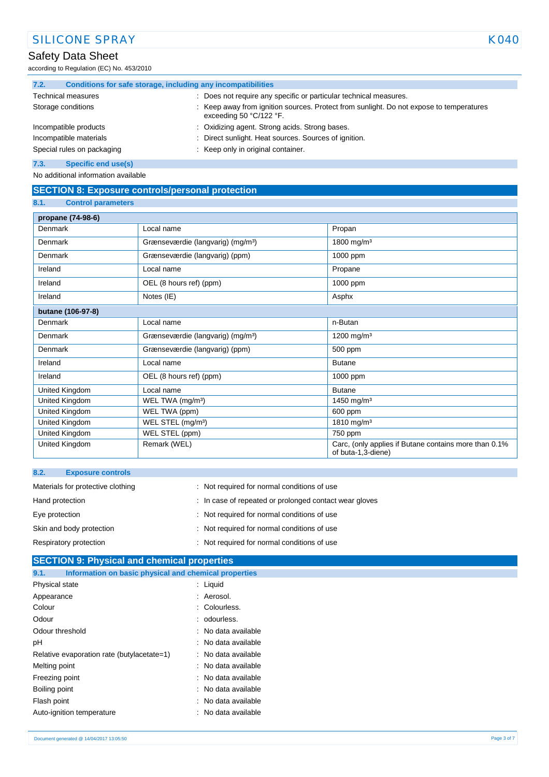according to Regulation (EC) No. 453/2010

| 7.2.                       | Conditions for safe storage, including any incompatibilities |                                    |                                                                                                                    |
|----------------------------|--------------------------------------------------------------|------------------------------------|--------------------------------------------------------------------------------------------------------------------|
| <b>Technical measures</b>  |                                                              |                                    | Does not require any specific or particular technical measures.                                                    |
|                            | Storage conditions                                           |                                    | Keep away from ignition sources. Protect from sunlight. Do not expose to temperatures<br>exceeding 50 $°C/122$ °F. |
|                            | Incompatible products                                        |                                    | : Oxidizing agent. Strong acids. Strong bases.                                                                     |
| Incompatible materials     |                                                              |                                    | Direct sunlight. Heat sources. Sources of ignition.                                                                |
| Special rules on packaging |                                                              | : Keep only in original container. |                                                                                                                    |
| 7.3.                       | Specific end use(s)                                          |                                    |                                                                                                                    |

No additional information available

## **SECTION 8: Exposure controls/personal protection**

#### **8.1. Control parameters**

| propane (74-98-6) |                                               |                                                                             |  |  |
|-------------------|-----------------------------------------------|-----------------------------------------------------------------------------|--|--|
| Denmark           | Local name                                    | Propan                                                                      |  |  |
| Denmark           | Grænseværdie (langvarig) (mg/m <sup>3</sup> ) | 1800 mg/m <sup>3</sup>                                                      |  |  |
| Denmark           | Grænseværdie (langvarig) (ppm)                | 1000 ppm                                                                    |  |  |
| Ireland           | Local name                                    | Propane                                                                     |  |  |
| Ireland           | OEL (8 hours ref) (ppm)                       | 1000 ppm                                                                    |  |  |
| Ireland           | Notes (IE)                                    | Asphx                                                                       |  |  |
| butane (106-97-8) |                                               |                                                                             |  |  |
| Denmark           | Local name                                    | n-Butan                                                                     |  |  |
| Denmark           | Grænseværdie (langvarig) (mg/m <sup>3</sup> ) | 1200 mg/m <sup>3</sup>                                                      |  |  |
| Denmark           | Grænseværdie (langvarig) (ppm)                | 500 ppm                                                                     |  |  |
| Ireland           | Local name                                    | <b>Butane</b>                                                               |  |  |
| Ireland           | OEL (8 hours ref) (ppm)                       | 1000 ppm                                                                    |  |  |
| United Kingdom    | Local name                                    | <b>Butane</b>                                                               |  |  |
| United Kingdom    | WEL TWA (mg/m <sup>3</sup> )                  | 1450 mg/m <sup>3</sup>                                                      |  |  |
| United Kingdom    | WEL TWA (ppm)                                 | 600 ppm                                                                     |  |  |
| United Kingdom    | WEL STEL (mg/m <sup>3</sup> )                 | 1810 mg/m <sup>3</sup>                                                      |  |  |
| United Kingdom    | WEL STEL (ppm)                                | 750 ppm                                                                     |  |  |
| United Kingdom    | Remark (WEL)                                  | Carc, (only applies if Butane contains more than 0.1%<br>of buta-1,3-diene) |  |  |

| 8.2.<br><b>Exposure controls</b>  |                                                        |
|-----------------------------------|--------------------------------------------------------|
| Materials for protective clothing | : Not required for normal conditions of use            |
| Hand protection                   | : In case of repeated or prolonged contact wear gloves |
| Eye protection                    | : Not required for normal conditions of use            |
| Skin and body protection          | : Not required for normal conditions of use            |
| Respiratory protection            | : Not required for normal conditions of use            |

# **SECTION 9: Physical and chemical properties 9.1. Information on basic physical and chemical properties** Physical state : Liquid Appearance : Aerosol. Colour : Colourless. Odour : odourless. Odour threshold **in the contract of the Contract Contract Contract Contract Contract Contract Contract Contract Contract Contract Contract Contract Contract Contract Contract Contract Contract Contract Contract Contract Co** pH : No data available Relative evaporation rate (butylacetate=1) : No data available Melting point **in the case of the case of the case of the case of the case of the case of the case of the case of the case of the case of the case of the case of the case of the case of the case of the case of the case of** Freezing point **in the case of the case of the case of the case of the case of the case of the case of the case of the case of the case of the case of the case of the case of the case of the case of the case of the case of** Boiling point **in the case of the case of the case of the case of the case of the case of the case of the case of the case of the case of the case of the case of the case of the case of the case of the case of the case of** Flash point **in the case of the case of the case of the case of the case of the case of the case of the case of the case of the case of the case of the case of the case of the case of the case of the case of the case of th** Auto-ignition temperature **interest and the Contract Auto-ignition** temperature intervals and the Nutsuland Contra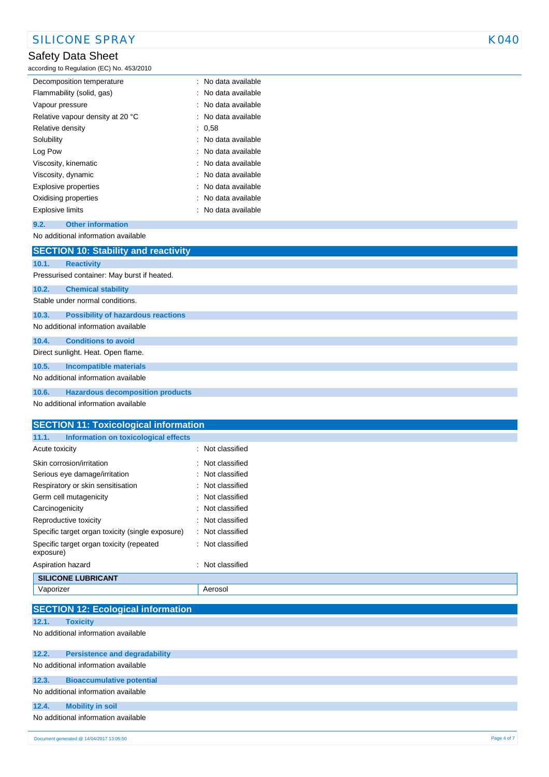according to Regulation (EC) No. 453/2010

| Decomposition temperature        | : No data available   |
|----------------------------------|-----------------------|
| Flammability (solid, gas)        | No data available     |
| Vapour pressure                  | No data available     |
| Relative vapour density at 20 °C | No data available     |
| Relative density                 | : 0.58                |
| Solubility                       | : No data available   |
| Log Pow                          | : No data available   |
| Viscosity, kinematic             | $:$ No data available |
| Viscosity, dynamic               | $:$ No data available |
| Explosive properties             | $:$ No data available |
| Oxidising properties             | : No data available   |
| <b>Explosive limits</b>          | : No data available   |
|                                  |                       |

#### **9.2. Other information**

No additional information available

|       | <b>SECTION 10: Stability and reactivity</b> |
|-------|---------------------------------------------|
| 10.1. | <b>Reactivity</b>                           |
|       | Pressurised container: May burst if heated. |
| 10.2. | <b>Chemical stability</b>                   |
|       | Stable under normal conditions.             |
| 10.3. | <b>Possibility of hazardous reactions</b>   |
|       | No additional information available         |
| 10.4. | <b>Conditions to avoid</b>                  |
|       | Direct sunlight. Heat. Open flame.          |
| 10.5. | <b>Incompatible materials</b>               |
|       | No additional information available         |
| 10.6. | <b>Hazardous decomposition products</b>     |
|       | No additional information available         |

| <b>SECTION 11: Toxicological information</b>          |                     |  |
|-------------------------------------------------------|---------------------|--|
| Information on toxicological effects<br>11.1.         |                     |  |
| Acute toxicity                                        | : Not classified    |  |
| Skin corrosion/irritation                             | : Not classified    |  |
| Serious eye damage/irritation                         | : Not classified    |  |
| Respiratory or skin sensitisation                     | : Not classified    |  |
| Germ cell mutagenicity                                | : Not classified    |  |
| Carcinogenicity                                       | : Not classified    |  |
| Reproductive toxicity                                 | : Not classified    |  |
| Specific target organ toxicity (single exposure)      | : Not classified    |  |
| Specific target organ toxicity (repeated<br>exposure) | : Not classified    |  |
| Aspiration hazard                                     | Not classified<br>÷ |  |
| <b>SILICONE LUBRICANT</b>                             |                     |  |
| Vaporizer                                             | Aerosol             |  |
|                                                       |                     |  |
| <b>SECTION 12: Ecological information</b>             |                     |  |
| 12.1.<br><b>Toxicity</b>                              |                     |  |
| No additional information quoilable                   |                     |  |

No additional information available

| 12.2. | <b>Persistence and degradability</b> |
|-------|--------------------------------------|
|       | No additional information available  |
| 12.3. | <b>Bioaccumulative potential</b>     |
|       | No additional information available  |
| 12.4. | <b>Mobility in soil</b>              |
|       | No additional information available  |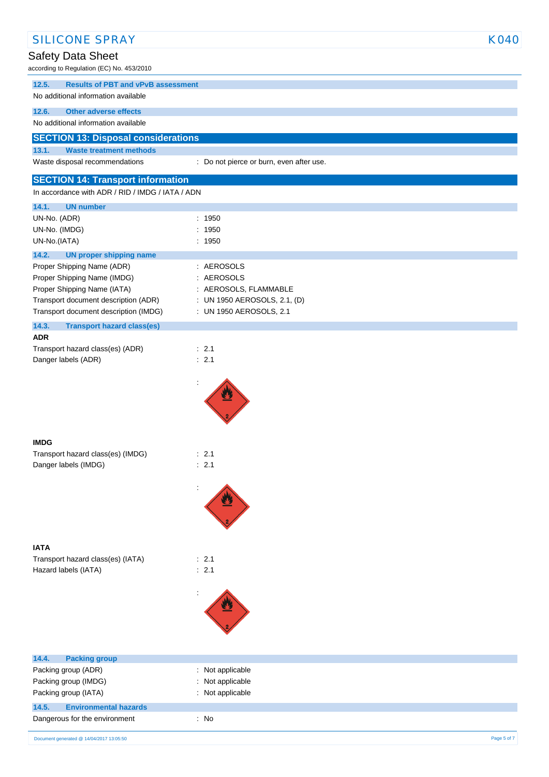| <b>SILICONE SPRAY</b>                                                         |                                                         | <b>K040</b> |
|-------------------------------------------------------------------------------|---------------------------------------------------------|-------------|
| Safety Data Sheet                                                             |                                                         |             |
| according to Regulation (EC) No. 453/2010                                     |                                                         |             |
| 12.5.<br><b>Results of PBT and vPvB assessment</b>                            |                                                         |             |
| No additional information available                                           |                                                         |             |
| <b>Other adverse effects</b><br>12.6.                                         |                                                         |             |
| No additional information available                                           |                                                         |             |
| <b>SECTION 13: Disposal considerations</b>                                    |                                                         |             |
| 13.1.<br><b>Waste treatment methods</b>                                       |                                                         |             |
| Waste disposal recommendations                                                | : Do not pierce or burn, even after use.                |             |
| <b>SECTION 14: Transport information</b>                                      |                                                         |             |
| In accordance with ADR / RID / IMDG / IATA / ADN                              |                                                         |             |
| 14.1.<br><b>UN number</b>                                                     |                                                         |             |
| UN-No. (ADR)                                                                  | : 1950                                                  |             |
| UN-No. (IMDG)                                                                 | : 1950                                                  |             |
| UN-No.(IATA)                                                                  | : 1950                                                  |             |
| 14.2.<br><b>UN proper shipping name</b>                                       |                                                         |             |
| Proper Shipping Name (ADR)                                                    | : AEROSOLS                                              |             |
| Proper Shipping Name (IMDG)                                                   | : AEROSOLS                                              |             |
| Proper Shipping Name (IATA)                                                   | : AEROSOLS, FLAMMABLE                                   |             |
| Transport document description (ADR)<br>Transport document description (IMDG) | : UN 1950 AEROSOLS, 2.1, (D)<br>: UN 1950 AEROSOLS, 2.1 |             |
|                                                                               |                                                         |             |
| 14.3.<br><b>Transport hazard class(es)</b><br><b>ADR</b>                      |                                                         |             |
| Transport hazard class(es) (ADR)                                              | $\therefore$ 2.1                                        |             |
| Danger labels (ADR)                                                           | : 2.1                                                   |             |
|                                                                               |                                                         |             |
|                                                                               |                                                         |             |
|                                                                               |                                                         |             |
|                                                                               |                                                         |             |
|                                                                               |                                                         |             |
|                                                                               |                                                         |             |
| <b>IMDG</b><br>Transport hazard class(es) (IMDG)                              | : 2.1                                                   |             |
| Danger labels (IMDG)                                                          | : 2.1                                                   |             |
|                                                                               |                                                         |             |
|                                                                               |                                                         |             |
|                                                                               |                                                         |             |
|                                                                               |                                                         |             |
|                                                                               |                                                         |             |
|                                                                               |                                                         |             |
| <b>IATA</b>                                                                   |                                                         |             |
| Transport hazard class(es) (IATA)                                             | : 2.1                                                   |             |
| Hazard labels (IATA)                                                          | : 2.1                                                   |             |
|                                                                               |                                                         |             |
|                                                                               |                                                         |             |
|                                                                               |                                                         |             |
|                                                                               |                                                         |             |
|                                                                               |                                                         |             |
|                                                                               |                                                         |             |
| 14.4.<br><b>Packing group</b><br>Packing group (ADR)                          | : Not applicable                                        |             |
| Packing group (IMDG)                                                          | Not applicable<br>÷.                                    |             |
| Packing group (IATA)                                                          | : Not applicable                                        |             |
| 14.5.<br><b>Environmental hazards</b>                                         |                                                         |             |
| Dangerous for the environment                                                 | : No                                                    |             |
|                                                                               |                                                         |             |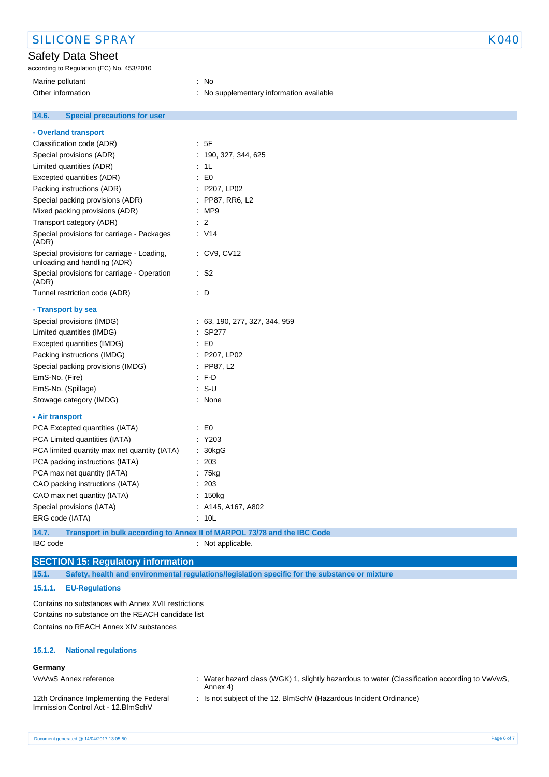according to Regulation (EC) No. 453/2010

Marine pollutant : No

Other information **intervalse and the contract of the CO**ther information available

#### **14.6. Special precautions for user**

| - Overland transport                                                       |                                                                          |  |
|----------------------------------------------------------------------------|--------------------------------------------------------------------------|--|
| Classification code (ADR)                                                  | : 5F                                                                     |  |
| Special provisions (ADR)                                                   | 190, 327, 344, 625                                                       |  |
| Limited quantities (ADR)                                                   | 1L                                                                       |  |
| Excepted quantities (ADR)                                                  | $\mathbf{E}$ EO                                                          |  |
| Packing instructions (ADR)                                                 | : P207, LP02                                                             |  |
| Special packing provisions (ADR)                                           | : PP87, RR6, L2                                                          |  |
| Mixed packing provisions (ADR)                                             | : MP9                                                                    |  |
| Transport category (ADR)                                                   | $\therefore$ 2                                                           |  |
| Special provisions for carriage - Packages<br>(ADR)                        | : V14                                                                    |  |
| Special provisions for carriage - Loading,<br>unloading and handling (ADR) | : CV9, CV12                                                              |  |
| Special provisions for carriage - Operation<br>(ADR)                       | : S2                                                                     |  |
| Tunnel restriction code (ADR)                                              | : D                                                                      |  |
| - Transport by sea                                                         |                                                                          |  |
| Special provisions (IMDG)                                                  | : 63, 190, 277, 327, 344, 959                                            |  |
| Limited quantities (IMDG)                                                  | SP277                                                                    |  |
| Excepted quantities (IMDG)                                                 | $\mathsf{E}$ EO                                                          |  |
| Packing instructions (IMDG)                                                | : P207, LP02                                                             |  |
| Special packing provisions (IMDG)                                          | $:$ PP87, L2                                                             |  |
| EmS-No. (Fire)                                                             | $F$ F-D                                                                  |  |
| EmS-No. (Spillage)                                                         | : S-U                                                                    |  |
| Stowage category (IMDG)                                                    | : None                                                                   |  |
| - Air transport                                                            |                                                                          |  |
| PCA Excepted quantities (IATA)                                             | $\mathbf{E}$ = $\mathbf{E}$                                              |  |
| PCA Limited quantities (IATA)                                              | : Y203                                                                   |  |
| PCA limited quantity max net quantity (IATA)                               | : 30kgG                                                                  |  |
| PCA packing instructions (IATA)                                            | : 203                                                                    |  |
| PCA max net quantity (IATA)                                                | : 75kg                                                                   |  |
| CAO packing instructions (IATA)                                            | : 203                                                                    |  |
| CAO max net quantity (IATA)<br>: 150kg                                     |                                                                          |  |
| Special provisions (IATA)                                                  | : A145, A167, A802                                                       |  |
| ERG code (IATA)                                                            | : 10L                                                                    |  |
| 14.7.                                                                      | Transport in bulk according to Annex II of MARPOL 73/78 and the IBC Code |  |

IBC code : Not applicable.

# **SECTION 15: Regulatory information**

**15.1. Safety, health and environmental regulations/legislation specific for the substance or mixture**

#### **15.1.1. EU-Regulations**

Contains no substances with Annex XVII restrictions Contains no substance on the REACH candidate list Contains no REACH Annex XIV substances

#### **15.1.2. National regulations**

#### **Germany**

VwVwS Annex reference : Water hazard class (WGK) 1, slightly hazardous to water (Classification according to VwVwS, Annex 4)

12th Ordinance Implementing the Federal Immission Control Act - 12.BImSchV

: Is not subject of the 12. BlmSchV (Hazardous Incident Ordinance)